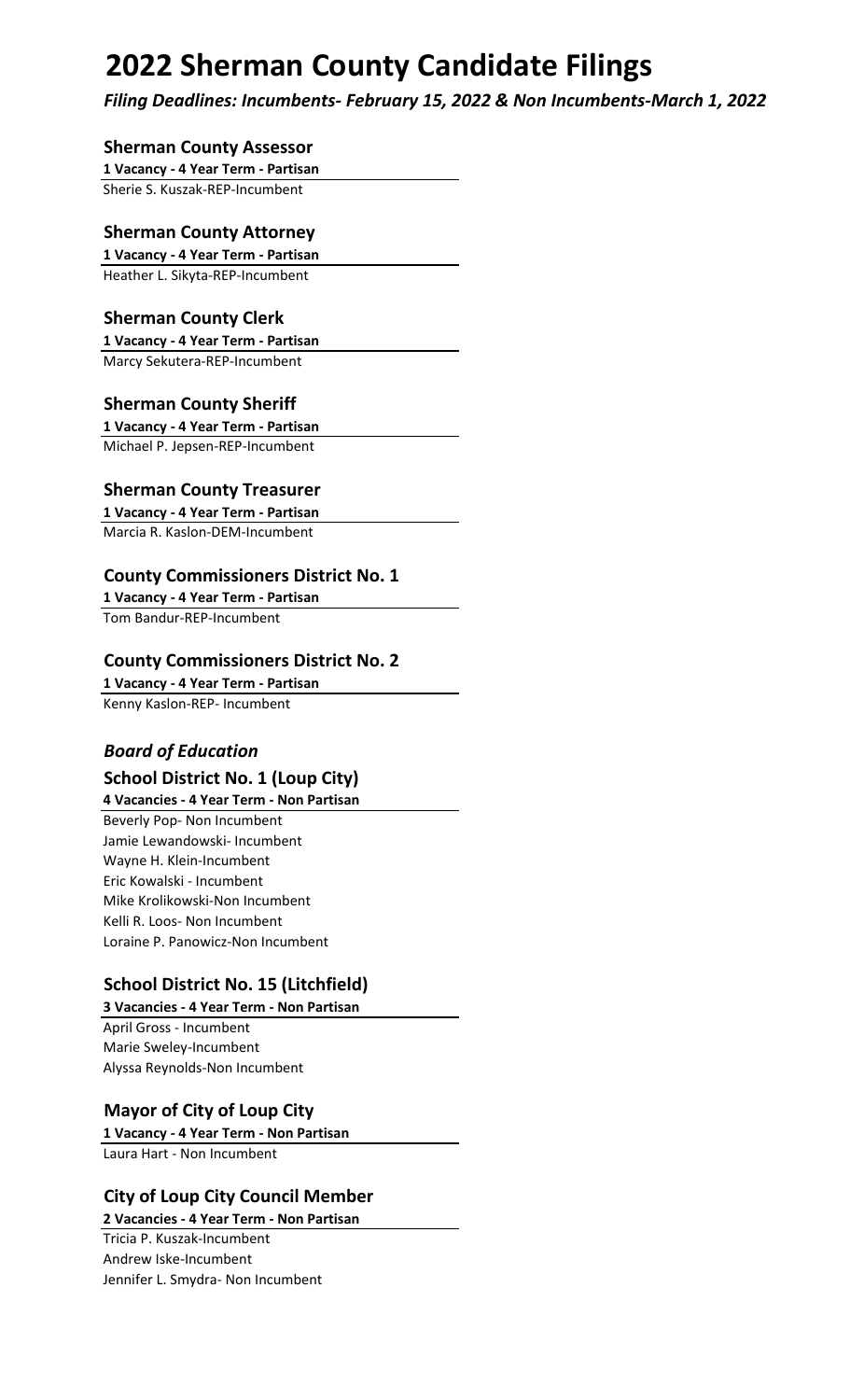# **2022 Sherman County Candidate Filings**

*Filing Deadlines: Incumbents- February 15, 2022 & Non Incumbents-March 1, 2022*

## **Sherman County Assessor**

**1 Vacancy - 4 Year Term - Partisan**

Sherie S. Kuszak-REP-Incumbent

## **Sherman County Attorney**

**1 Vacancy - 4 Year Term - Partisan** Heather L. Sikyta-REP-Incumbent

# **Sherman County Clerk**

**1 Vacancy - 4 Year Term - Partisan** Marcy Sekutera-REP-Incumbent

# **Sherman County Sheriff**

**1 Vacancy - 4 Year Term - Partisan** Michael P. Jepsen-REP-Incumbent

# **Sherman County Treasurer**

**1 Vacancy - 4 Year Term - Partisan** Marcia R. Kaslon-DEM-Incumbent

# **County Commissioners District No. 1**

**1 Vacancy - 4 Year Term - Partisan** Tom Bandur-REP-Incumbent

## **County Commissioners District No. 2**

**1 Vacancy - 4 Year Term - Partisan** Kenny Kaslon-REP- Incumbent

# *Board of Education*

# **School District No. 1 (Loup City)**

**4 Vacancies - 4 Year Term - Non Partisan** Beverly Pop- Non Incumbent Jamie Lewandowski- Incumbent Wayne H. Klein-Incumbent Eric Kowalski - Incumbent Mike Krolikowski-Non Incumbent Kelli R. Loos- Non Incumbent Loraine P. Panowicz-Non Incumbent

# **School District No. 15 (Litchfield)**

**3 Vacancies - 4 Year Term - Non Partisan** April Gross - Incumbent Marie Sweley-Incumbent Alyssa Reynolds-Non Incumbent

# **Mayor of City of Loup City**

**1 Vacancy - 4 Year Term - Non Partisan** Laura Hart - Non Incumbent

# **City of Loup City Council Member**

**2 Vacancies - 4 Year Term - Non Partisan** Tricia P. Kuszak-Incumbent Andrew Iske-Incumbent Jennifer L. Smydra- Non Incumbent